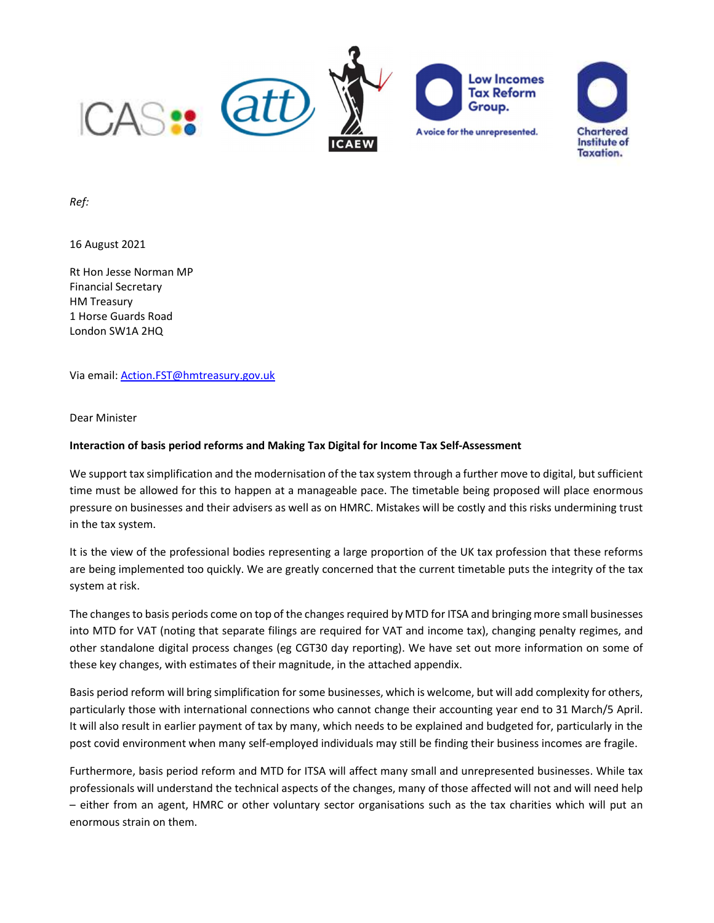

Ref:

16 August 2021

Rt Hon Jesse Norman MP Financial Secretary HM Treasury 1 Horse Guards Road London SW1A 2HQ

Via email: Action.FST@hmtreasury.gov.uk

Dear Minister

#### Interaction of basis period reforms and Making Tax Digital for Income Tax Self-Assessment

We support tax simplification and the modernisation of the tax system through a further move to digital, but sufficient time must be allowed for this to happen at a manageable pace. The timetable being proposed will place enormous pressure on businesses and their advisers as well as on HMRC. Mistakes will be costly and this risks undermining trust in the tax system.

It is the view of the professional bodies representing a large proportion of the UK tax profession that these reforms are being implemented too quickly. We are greatly concerned that the current timetable puts the integrity of the tax system at risk.

The changes to basis periods come on top of the changes required by MTD for ITSA and bringing more small businesses into MTD for VAT (noting that separate filings are required for VAT and income tax), changing penalty regimes, and other standalone digital process changes (eg CGT30 day reporting). We have set out more information on some of these key changes, with estimates of their magnitude, in the attached appendix.

Basis period reform will bring simplification for some businesses, which is welcome, but will add complexity for others, particularly those with international connections who cannot change their accounting year end to 31 March/5 April. It will also result in earlier payment of tax by many, which needs to be explained and budgeted for, particularly in the post covid environment when many self-employed individuals may still be finding their business incomes are fragile.

Furthermore, basis period reform and MTD for ITSA will affect many small and unrepresented businesses. While tax professionals will understand the technical aspects of the changes, many of those affected will not and will need help – either from an agent, HMRC or other voluntary sector organisations such as the tax charities which will put an enormous strain on them.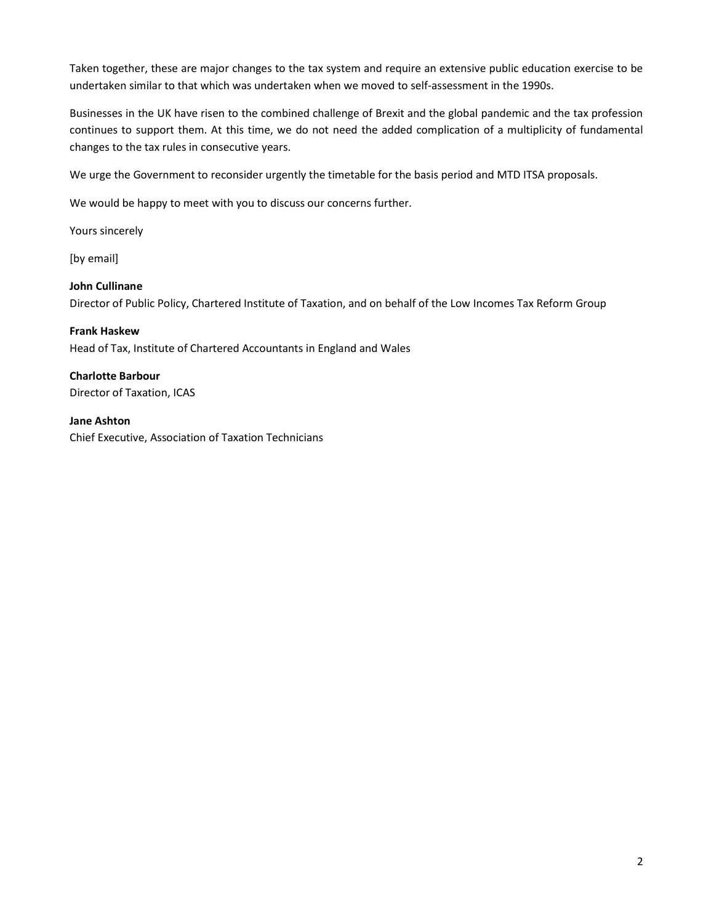Taken together, these are major changes to the tax system and require an extensive public education exercise to be undertaken similar to that which was undertaken when we moved to self-assessment in the 1990s.

Businesses in the UK have risen to the combined challenge of Brexit and the global pandemic and the tax profession continues to support them. At this time, we do not need the added complication of a multiplicity of fundamental changes to the tax rules in consecutive years.

We urge the Government to reconsider urgently the timetable for the basis period and MTD ITSA proposals.

We would be happy to meet with you to discuss our concerns further.

Yours sincerely

[by email]

### John Cullinane

Director of Public Policy, Chartered Institute of Taxation, and on behalf of the Low Incomes Tax Reform Group

#### Frank Haskew

Head of Tax, Institute of Chartered Accountants in England and Wales

#### Charlotte Barbour

Director of Taxation, ICAS

#### Jane Ashton

Chief Executive, Association of Taxation Technicians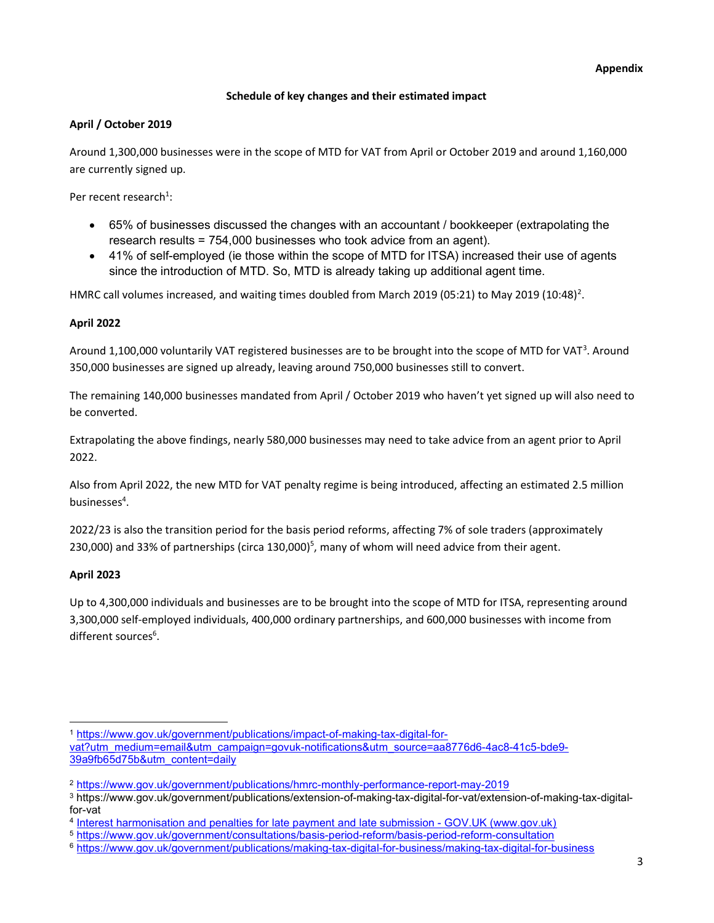## Schedule of key changes and their estimated impact

## April / October 2019

Around 1,300,000 businesses were in the scope of MTD for VAT from April or October 2019 and around 1,160,000 are currently signed up.

Per recent research<sup>1</sup>:

- 65% of businesses discussed the changes with an accountant / bookkeeper (extrapolating the research results = 754,000 businesses who took advice from an agent).
- 41% of self-employed (ie those within the scope of MTD for ITSA) increased their use of agents since the introduction of MTD. So, MTD is already taking up additional agent time.

HMRC call volumes increased, and waiting times doubled from March 2019 (05:21) to May 2019 (10:48)<sup>2</sup>.

# April 2022

Around 1,100,000 voluntarily VAT registered businesses are to be brought into the scope of MTD for VAT<sup>3</sup>. Around 350,000 businesses are signed up already, leaving around 750,000 businesses still to convert.

The remaining 140,000 businesses mandated from April / October 2019 who haven't yet signed up will also need to be converted.

Extrapolating the above findings, nearly 580,000 businesses may need to take advice from an agent prior to April 2022.

Also from April 2022, the new MTD for VAT penalty regime is being introduced, affecting an estimated 2.5 million businesses<sup>4</sup>.

2022/23 is also the transition period for the basis period reforms, affecting 7% of sole traders (approximately 230,000) and 33% of partnerships (circa 130,000)<sup>5</sup>, many of whom will need advice from their agent.

## April 2023

Up to 4,300,000 individuals and businesses are to be brought into the scope of MTD for ITSA, representing around 3,300,000 self-employed individuals, 400,000 ordinary partnerships, and 600,000 businesses with income from different sources<sup>6</sup>.

<sup>1</sup> https://www.gov.uk/government/publications/impact-of-making-tax-digital-for-

vat?utm\_medium=email&utm\_campaign=govuk-notifications&utm\_source=aa8776d6-4ac8-41c5-bde9-39a9fb65d75b&utm\_content=daily

<sup>2</sup> https://www.gov.uk/government/publications/hmrc-monthly-performance-report-may-2019

<sup>3</sup> https://www.gov.uk/government/publications/extension-of-making-tax-digital-for-vat/extension-of-making-tax-digitalfor-vat

<sup>4</sup> Interest harmonisation and penalties for late payment and late submission - GOV.UK (www.gov.uk)

<sup>5</sup> https://www.gov.uk/government/consultations/basis-period-reform/basis-period-reform-consultation

<sup>6</sup> https://www.gov.uk/government/publications/making-tax-digital-for-business/making-tax-digital-for-business